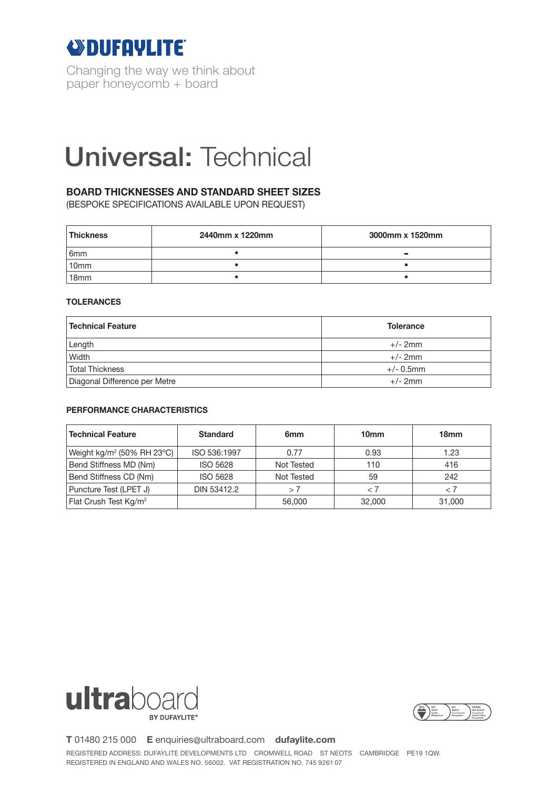

Changing the way we think about paper honeycomb + board

# Universal: Technical

### **BOARD THICKNESSES AND STANDARD SHEET SIZES**

(BESPOKE SPECIFICATIONS AVAILABLE UPON REQUEST)

| <b>Thickness</b> | 2440mm x 1220mm | 3000mm x 1520mm |  |
|------------------|-----------------|-----------------|--|
| 6 <sub>mm</sub>  |                 | $\sim$          |  |
| 10 <sub>mm</sub> |                 |                 |  |
| 18 <sub>mm</sub> |                 |                 |  |

### **TOLERANCES**

| <b>Technical Feature</b>      | <b>Tolerance</b> |  |  |
|-------------------------------|------------------|--|--|
| Length                        | $+/- 2mm$        |  |  |
| Width                         | $+/- 2mm$        |  |  |
| <b>Total Thickness</b>        | $+/- 0.5$ mm     |  |  |
| Diagonal Difference per Metre | $+/- 2mm$        |  |  |

### **PERFORMANCE CHARACTERISTICS**

| <b>Technical Feature</b>               | <b>Standard</b> | 6 <sub>mm</sub> | 10 <sub>mm</sub> | 18mm        |
|----------------------------------------|-----------------|-----------------|------------------|-------------|
| Weight kg/m <sup>2</sup> (50% RH 23°C) | ISO 536:1997    | 0.77            | 0.93             | 1.23        |
| Bend Stiffness MD (Nm)                 | <b>ISO 5628</b> | Not Tested      | 110              | 416         |
| Bend Stiffness CD (Nm)                 | <b>ISO 5628</b> | Not Tested      | 59               | 242         |
| Puncture Test (LPET J)                 | DIN 53412.2     | >7              | - 7              | $\langle 7$ |
| Flat Crush Test Kg/m <sup>2</sup>      |                 | 56,000          | 32,000           | 31,000      |





**T** 01480 215 000 **E** enquiries@ultraboard.com **dufaylite.com**

REGISTERED ADDRESS: DUFAYLITE DEVELOPMENTS LTD CROMWELL ROAD ST NEOTS CAMBRIDGE PE19 1QW. REGISTERED IN ENGLAND AND WALES NO. 56002. VAT REGISTRATION NO. 745 9261 07